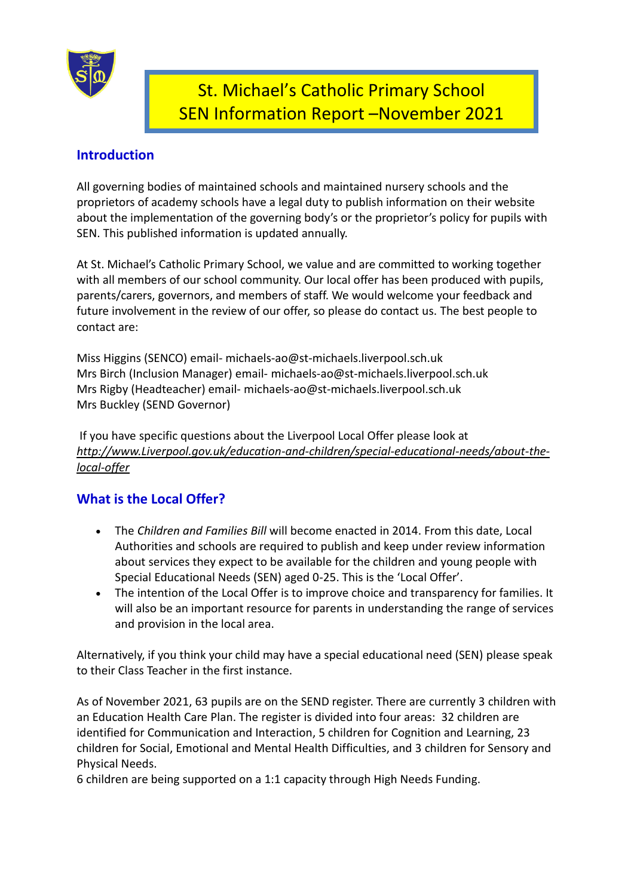

# St. Michael's Catholic Primary School SEN Information Report –November 2021

# **Introduction**

All governing bodies of maintained schools and maintained nursery schools and the proprietors of academy schools have a legal duty to publish information on their website about the implementation of the governing body's or the proprietor's policy for pupils with SEN. This published information is updated annually.

At St. Michael's Catholic Primary School, we value and are committed to working together with all members of our school community. Our local offer has been produced with pupils, parents/carers, governors, and members of staff. We would welcome your feedback and future involvement in the review of our offer, so please do contact us. The best people to contact are:

Miss Higgins (SENCO) email- michaels-ao@st-michaels.liverpool.sch.uk Mrs Birch (Inclusion Manager) email- michaels-ao@st-michaels.liverpool.sch.uk Mrs Rigby (Headteacher) email- michaels-ao@st-michaels.liverpool.sch.uk Mrs Buckley (SEND Governor)

If you have specific questions about the Liverpool Local Offer please look at *[http://www.Liverpool.gov.uk/education](http://www.liverpool.gov.uk/education-and-children/special-educational-needs/about-the-local-offer)-and-children/special-educational-needs/about-thelocal-[offer](http://www.liverpool.gov.uk/education-and-children/special-educational-needs/about-the-local-offer)*

# **What is the Local Offer?**

- The *Children and Families Bill* will become enacted in 2014. From this date, Local Authorities and schools are required to publish and keep under review information about services they expect to be available for the children and young people with Special Educational Needs (SEN) aged 0-25. This is the 'Local Offer'.
- The intention of the Local Offer is to improve choice and transparency for families. It will also be an important resource for parents in understanding the range of services and provision in the local area.

Alternatively, if you think your child may have a special educational need (SEN) please speak to their Class Teacher in the first instance.

As of November 2021, 63 pupils are on the SEND register. There are currently 3 children with an Education Health Care Plan. The register is divided into four areas: 32 children are identified for Communication and Interaction, 5 children for Cognition and Learning, 23 children for Social, Emotional and Mental Health Difficulties, and 3 children for Sensory and Physical Needs.

6 children are being supported on a 1:1 capacity through High Needs Funding.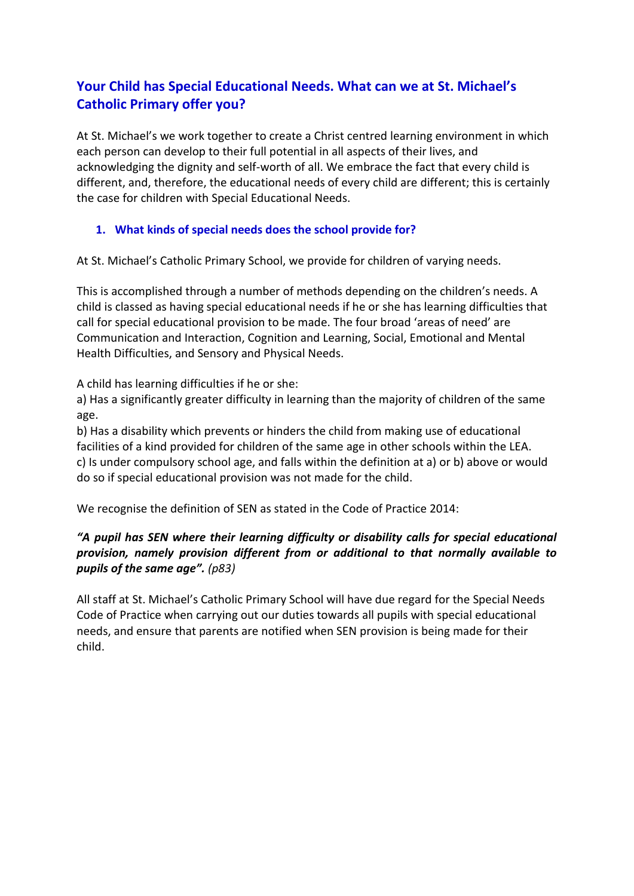# **Your Child has Special Educational Needs. What can we at St. Michael's Catholic Primary offer you?**

At St. Michael's we work together to create a Christ centred learning environment in which each person can develop to their full potential in all aspects of their lives, and acknowledging the dignity and self-worth of all. We embrace the fact that every child is different, and, therefore, the educational needs of every child are different; this is certainly the case for children with Special Educational Needs.

## **1. What kinds of special needs does the school provide for?**

At St. Michael's Catholic Primary School, we provide for children of varying needs.

This is accomplished through a number of methods depending on the children's needs. A child is classed as having special educational needs if he or she has learning difficulties that call for special educational provision to be made. The four broad 'areas of need' are Communication and Interaction, Cognition and Learning, Social, Emotional and Mental Health Difficulties, and Sensory and Physical Needs.

A child has learning difficulties if he or she:

a) Has a significantly greater difficulty in learning than the majority of children of the same age.

b) Has a disability which prevents or hinders the child from making use of educational facilities of a kind provided for children of the same age in other schools within the LEA. c) Is under compulsory school age, and falls within the definition at a) or b) above or would do so if special educational provision was not made for the child.

We recognise the definition of SEN as stated in the Code of Practice 2014:

## *"A pupil has SEN where their learning difficulty or disability calls for special educational provision, namely provision different from or additional to that normally available to pupils of the same age". (p83)*

All staff at St. Michael's Catholic Primary School will have due regard for the Special Needs Code of Practice when carrying out our duties towards all pupils with special educational needs, and ensure that parents are notified when SEN provision is being made for their child.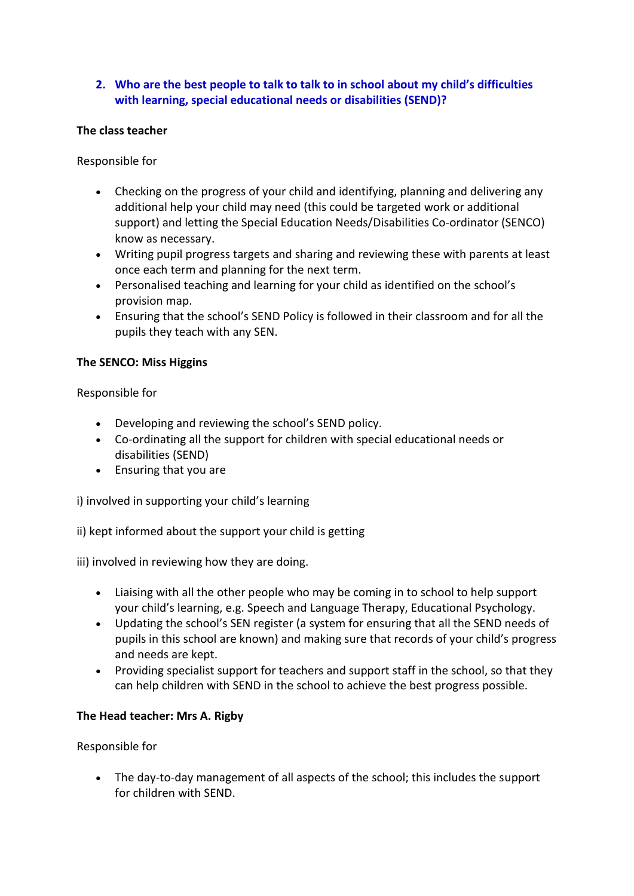## **2. Who are the best people to talk to talk to in school about my child's difficulties with learning, special educational needs or disabilities (SEND)?**

#### **The class teacher**

Responsible for

- Checking on the progress of your child and identifying, planning and delivering any additional help your child may need (this could be targeted work or additional support) and letting the Special Education Needs/Disabilities Co-ordinator (SENCO) know as necessary.
- Writing pupil progress targets and sharing and reviewing these with parents at least once each term and planning for the next term.
- Personalised teaching and learning for your child as identified on the school's provision map.
- Ensuring that the school's SEND Policy is followed in their classroom and for all the pupils they teach with any SEN.

#### **The SENCO: Miss Higgins**

Responsible for

- Developing and reviewing the school's SEND policy.
- Co-ordinating all the support for children with special educational needs or disabilities (SEND)
- Ensuring that you are

i) involved in supporting your child's learning

ii) kept informed about the support your child is getting

iii) involved in reviewing how they are doing.

- Liaising with all the other people who may be coming in to school to help support your child's learning, e.g. Speech and Language Therapy, Educational Psychology.
- Updating the school's SEN register (a system for ensuring that all the SEND needs of pupils in this school are known) and making sure that records of your child's progress and needs are kept.
- Providing specialist support for teachers and support staff in the school, so that they can help children with SEND in the school to achieve the best progress possible.

#### **The Head teacher: Mrs A. Rigby**

#### Responsible for

 The day-to-day management of all aspects of the school; this includes the support for children with SEND.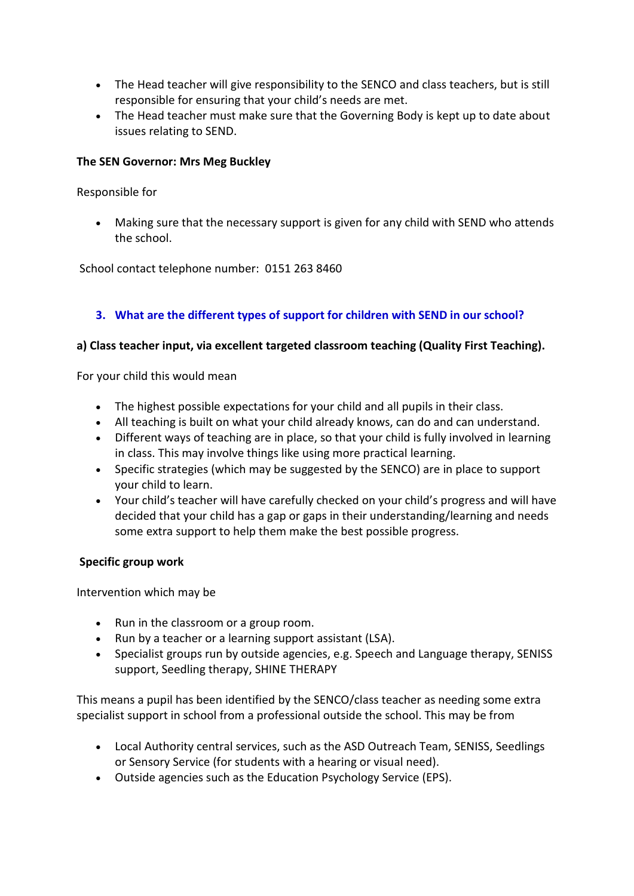- The Head teacher will give responsibility to the SENCO and class teachers, but is still responsible for ensuring that your child's needs are met.
- The Head teacher must make sure that the Governing Body is kept up to date about issues relating to SEND.

#### **The SEN Governor: Mrs Meg Buckley**

Responsible for

 Making sure that the necessary support is given for any child with SEND who attends the school.

School contact telephone number: 0151 263 8460

# **3. What are the different types of support for children with SEND in our school?**

#### **a) Class teacher input, via excellent targeted classroom teaching (Quality First Teaching).**

For your child this would mean

- The highest possible expectations for your child and all pupils in their class.
- All teaching is built on what your child already knows, can do and can understand.
- Different ways of teaching are in place, so that your child is fully involved in learning in class. This may involve things like using more practical learning.
- Specific strategies (which may be suggested by the SENCO) are in place to support your child to learn.
- Your child's teacher will have carefully checked on your child's progress and will have decided that your child has a gap or gaps in their understanding/learning and needs some extra support to help them make the best possible progress.

#### **Specific group work**

Intervention which may be

- Run in the classroom or a group room.
- Run by a teacher or a learning support assistant (LSA).
- Specialist groups run by outside agencies, e.g. Speech and Language therapy, SENISS support, Seedling therapy, SHINE THERAPY

This means a pupil has been identified by the SENCO/class teacher as needing some extra specialist support in school from a professional outside the school. This may be from

- Local Authority central services, such as the ASD Outreach Team, SENISS, Seedlings or Sensory Service (for students with a hearing or visual need).
- Outside agencies such as the Education Psychology Service (EPS).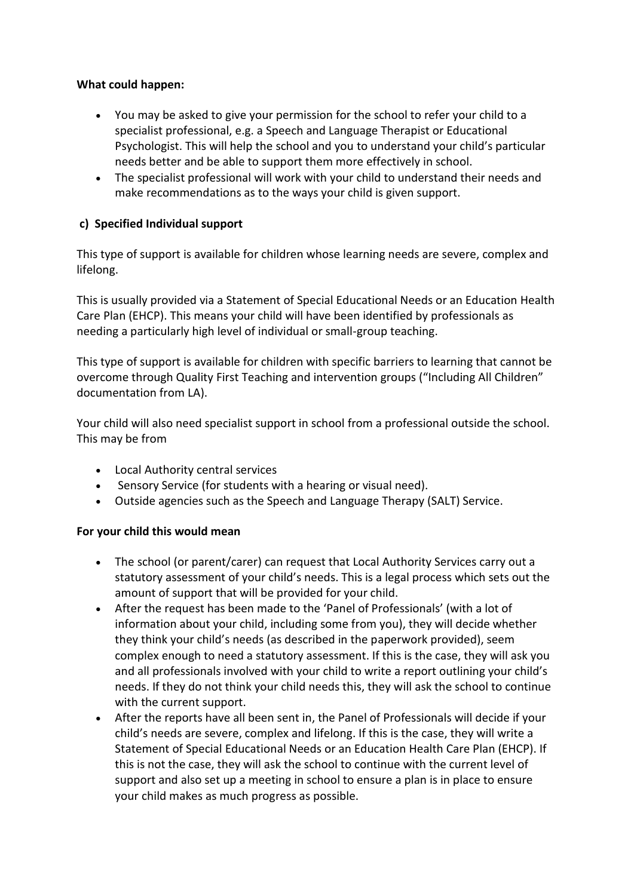#### **What could happen:**

- You may be asked to give your permission for the school to refer your child to a specialist professional, e.g. a Speech and Language Therapist or Educational Psychologist. This will help the school and you to understand your child's particular needs better and be able to support them more effectively in school.
- The specialist professional will work with your child to understand their needs and make recommendations as to the ways your child is given support.

#### **c) Specified Individual support**

This type of support is available for children whose learning needs are severe, complex and lifelong.

This is usually provided via a Statement of Special Educational Needs or an Education Health Care Plan (EHCP). This means your child will have been identified by professionals as needing a particularly high level of individual or small-group teaching.

This type of support is available for children with specific barriers to learning that cannot be overcome through Quality First Teaching and intervention groups ("Including All Children" documentation from LA).

Your child will also need specialist support in school from a professional outside the school. This may be from

- Local Authority central services
- Sensory Service (for students with a hearing or visual need).
- Outside agencies such as the Speech and Language Therapy (SALT) Service.

#### **For your child this would mean**

- The school (or parent/carer) can request that Local Authority Services carry out a statutory assessment of your child's needs. This is a legal process which sets out the amount of support that will be provided for your child.
- After the request has been made to the 'Panel of Professionals' (with a lot of information about your child, including some from you), they will decide whether they think your child's needs (as described in the paperwork provided), seem complex enough to need a statutory assessment. If this is the case, they will ask you and all professionals involved with your child to write a report outlining your child's needs. If they do not think your child needs this, they will ask the school to continue with the current support.
- After the reports have all been sent in, the Panel of Professionals will decide if your child's needs are severe, complex and lifelong. If this is the case, they will write a Statement of Special Educational Needs or an Education Health Care Plan (EHCP). If this is not the case, they will ask the school to continue with the current level of support and also set up a meeting in school to ensure a plan is in place to ensure your child makes as much progress as possible.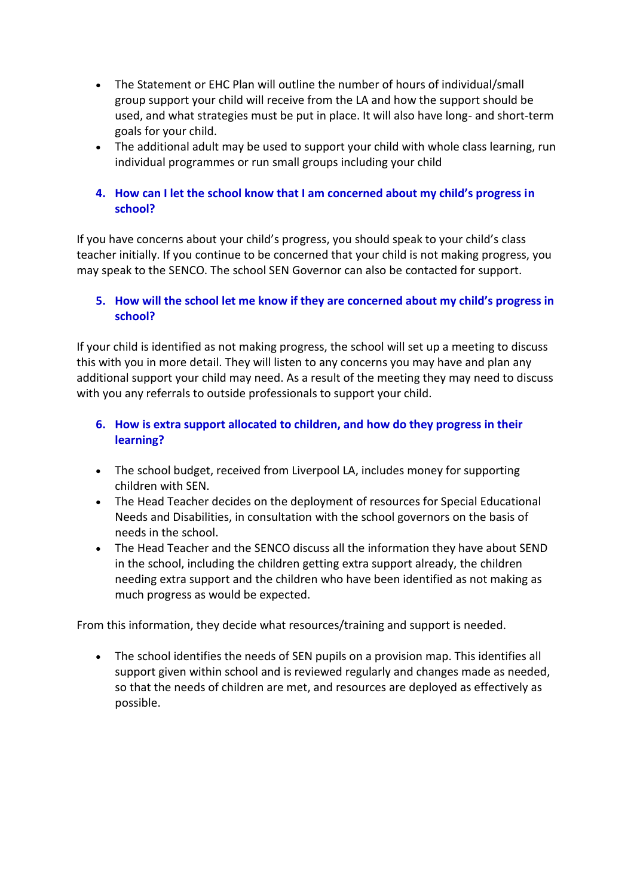- The Statement or EHC Plan will outline the number of hours of individual/small group support your child will receive from the LA and how the support should be used, and what strategies must be put in place. It will also have long- and short-term goals for your child.
- The additional adult may be used to support your child with whole class learning, run individual programmes or run small groups including your child

#### **4. How can I let the school know that I am concerned about my child's progress in school?**

If you have concerns about your child's progress, you should speak to your child's class teacher initially. If you continue to be concerned that your child is not making progress, you may speak to the SENCO. The school SEN Governor can also be contacted for support.

#### **5. How will the school let me know if they are concerned about my child's progress in school?**

If your child is identified as not making progress, the school will set up a meeting to discuss this with you in more detail. They will listen to any concerns you may have and plan any additional support your child may need. As a result of the meeting they may need to discuss with you any referrals to outside professionals to support your child.

#### **6. How is extra support allocated to children, and how do they progress in their learning?**

- The school budget, received from Liverpool LA, includes money for supporting children with SEN.
- The Head Teacher decides on the deployment of resources for Special Educational Needs and Disabilities, in consultation with the school governors on the basis of needs in the school.
- The Head Teacher and the SENCO discuss all the information they have about SEND in the school, including the children getting extra support already, the children needing extra support and the children who have been identified as not making as much progress as would be expected.

From this information, they decide what resources/training and support is needed.

 The school identifies the needs of SEN pupils on a provision map. This identifies all support given within school and is reviewed regularly and changes made as needed, so that the needs of children are met, and resources are deployed as effectively as possible.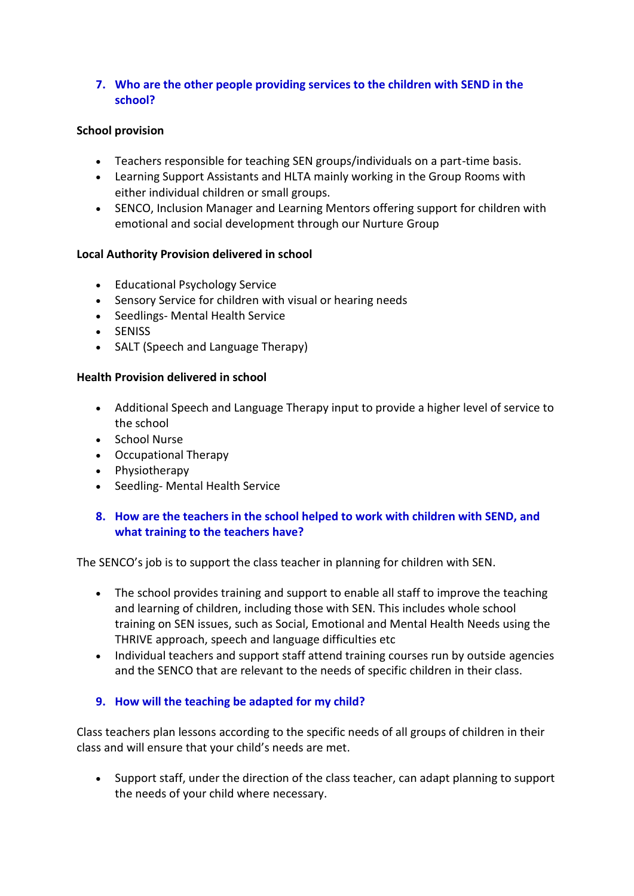#### **7. Who are the other people providing services to the children with SEND in the school?**

#### **School provision**

- Teachers responsible for teaching SEN groups/individuals on a part-time basis.
- Learning Support Assistants and HLTA mainly working in the Group Rooms with either individual children or small groups.
- SENCO, Inclusion Manager and Learning Mentors offering support for children with emotional and social development through our Nurture Group

#### **Local Authority Provision delivered in school**

- Educational Psychology Service
- Sensory Service for children with visual or hearing needs
- Seedlings- Mental Health Service
- SENISS
- SALT (Speech and Language Therapy)

#### **Health Provision delivered in school**

- Additional Speech and Language Therapy input to provide a higher level of service to the school
- School Nurse
- Occupational Therapy
- Physiotherapy
- Seedling- Mental Health Service

#### **8. How are the teachers in the school helped to work with children with SEND, and what training to the teachers have?**

The SENCO's job is to support the class teacher in planning for children with SEN.

- The school provides training and support to enable all staff to improve the teaching and learning of children, including those with SEN. This includes whole school training on SEN issues, such as Social, Emotional and Mental Health Needs using the THRIVE approach, speech and language difficulties etc
- Individual teachers and support staff attend training courses run by outside agencies and the SENCO that are relevant to the needs of specific children in their class.

#### **9. How will the teaching be adapted for my child?**

Class teachers plan lessons according to the specific needs of all groups of children in their class and will ensure that your child's needs are met.

 Support staff, under the direction of the class teacher, can adapt planning to support the needs of your child where necessary.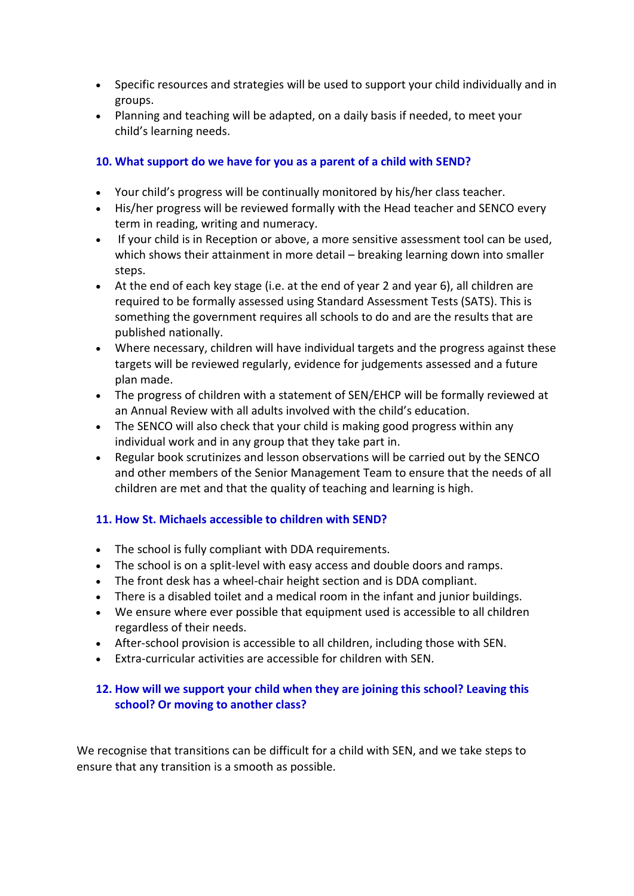- Specific resources and strategies will be used to support your child individually and in groups.
- Planning and teaching will be adapted, on a daily basis if needed, to meet your child's learning needs.

#### **10. What support do we have for you as a parent of a child with SEND?**

- Your child's progress will be continually monitored by his/her class teacher.
- His/her progress will be reviewed formally with the Head teacher and SENCO every term in reading, writing and numeracy.
- If your child is in Reception or above, a more sensitive assessment tool can be used, which shows their attainment in more detail – breaking learning down into smaller steps.
- At the end of each key stage (i.e. at the end of year 2 and year 6), all children are required to be formally assessed using Standard Assessment Tests (SATS). This is something the government requires all schools to do and are the results that are published nationally.
- Where necessary, children will have individual targets and the progress against these targets will be reviewed regularly, evidence for judgements assessed and a future plan made.
- The progress of children with a statement of SEN/EHCP will be formally reviewed at an Annual Review with all adults involved with the child's education.
- The SENCO will also check that your child is making good progress within any individual work and in any group that they take part in.
- Regular book scrutinizes and lesson observations will be carried out by the SENCO and other members of the Senior Management Team to ensure that the needs of all children are met and that the quality of teaching and learning is high.

#### **11. How St. Michaels accessible to children with SEND?**

- The school is fully compliant with DDA requirements.
- The school is on a split-level with easy access and double doors and ramps.
- The front desk has a wheel-chair height section and is DDA compliant.
- There is a disabled toilet and a medical room in the infant and junior buildings.
- We ensure where ever possible that equipment used is accessible to all children regardless of their needs.
- After-school provision is accessible to all children, including those with SEN.
- Extra-curricular activities are accessible for children with SEN.

## **12. How will we support your child when they are joining this school? Leaving this school? Or moving to another class?**

We recognise that transitions can be difficult for a child with SEN, and we take steps to ensure that any transition is a smooth as possible.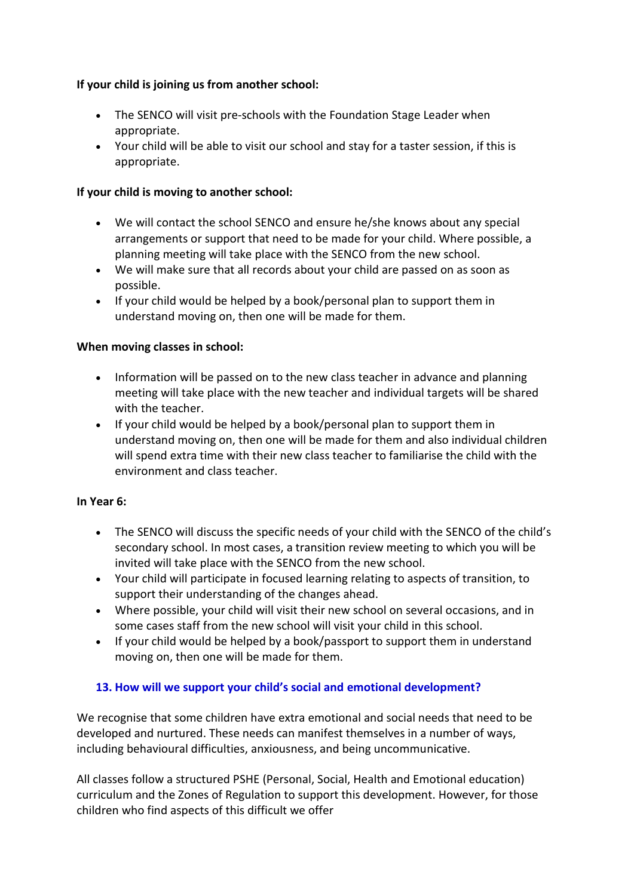## **If your child is joining us from another school:**

- The SENCO will visit pre-schools with the Foundation Stage Leader when appropriate.
- Your child will be able to visit our school and stay for a taster session, if this is appropriate.

#### **If your child is moving to another school:**

- We will contact the school SENCO and ensure he/she knows about any special arrangements or support that need to be made for your child. Where possible, a planning meeting will take place with the SENCO from the new school.
- We will make sure that all records about your child are passed on as soon as possible.
- If your child would be helped by a book/personal plan to support them in understand moving on, then one will be made for them.

#### **When moving classes in school:**

- Information will be passed on to the new class teacher in advance and planning meeting will take place with the new teacher and individual targets will be shared with the teacher.
- If your child would be helped by a book/personal plan to support them in understand moving on, then one will be made for them and also individual children will spend extra time with their new class teacher to familiarise the child with the environment and class teacher.

#### **In Year 6:**

- The SENCO will discuss the specific needs of your child with the SENCO of the child's secondary school. In most cases, a transition review meeting to which you will be invited will take place with the SENCO from the new school.
- Your child will participate in focused learning relating to aspects of transition, to support their understanding of the changes ahead.
- Where possible, your child will visit their new school on several occasions, and in some cases staff from the new school will visit your child in this school.
- If your child would be helped by a book/passport to support them in understand moving on, then one will be made for them.

# **13. How will we support your child's social and emotional development?**

We recognise that some children have extra emotional and social needs that need to be developed and nurtured. These needs can manifest themselves in a number of ways, including behavioural difficulties, anxiousness, and being uncommunicative.

All classes follow a structured PSHE (Personal, Social, Health and Emotional education) curriculum and the Zones of Regulation to support this development. However, for those children who find aspects of this difficult we offer